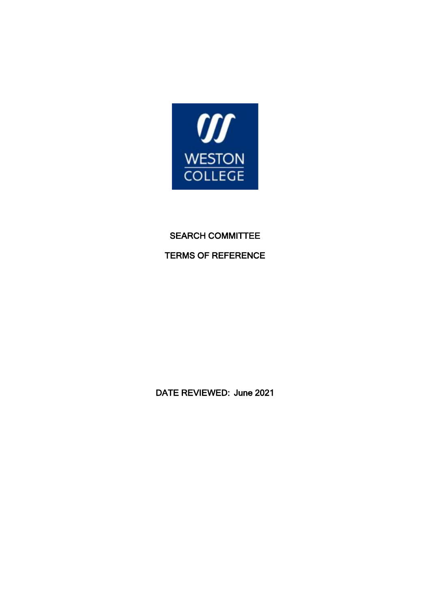

# SEARCH COMMITTEE TERMS OF REFERENCE

DATE REVIEWED: June 2021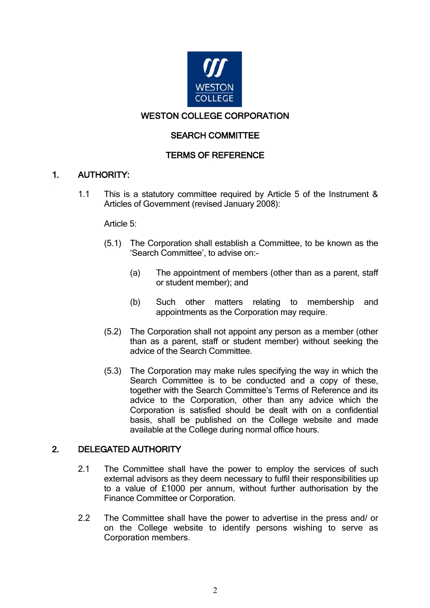

## WESTON COLLEGE CORPORATION

#### SEARCH COMMITTEE

## TERMS OF REFERENCE

#### 1. AUTHORITY:

1.1 This is a statutory committee required by Article 5 of the Instrument & Articles of Government (revised January 2008):

#### Article 5:

- (5.1) The Corporation shall establish a Committee, to be known as the 'Search Committee', to advise on:-
	- (a) The appointment of members (other than as a parent, staff or student member); and
	- (b) Such other matters relating to membership and appointments as the Corporation may require.
- (5.2) The Corporation shall not appoint any person as a member (other than as a parent, staff or student member) without seeking the advice of the Search Committee.
- (5.3) The Corporation may make rules specifying the way in which the Search Committee is to be conducted and a copy of these, together with the Search Committee's Terms of Reference and its advice to the Corporation, other than any advice which the Corporation is satisfied should be dealt with on a confidential basis, shall be published on the College website and made available at the College during normal office hours.

### 2. DELEGATED AUTHORITY

- 2.1 The Committee shall have the power to employ the services of such external advisors as they deem necessary to fulfil their responsibilities up to a value of £1000 per annum, without further authorisation by the Finance Committee or Corporation.
- 2.2 The Committee shall have the power to advertise in the press and/ or on the College website to identify persons wishing to serve as Corporation members.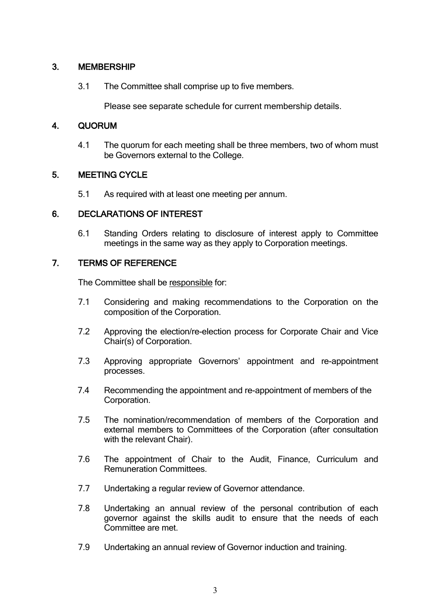### 3. MEMBERSHIP

3.1 The Committee shall comprise up to five members.

Please see separate schedule for current membership details.

## 4. QUORUM

4.1 The quorum for each meeting shall be three members, two of whom must be Governors external to the College.

## 5. MEETING CYCLE

5.1 As required with at least one meeting per annum.

#### 6. DECLARATIONS OF INTEREST

6.1 Standing Orders relating to disclosure of interest apply to Committee meetings in the same way as they apply to Corporation meetings.

## 7. TERMS OF REFERENCE

The Committee shall be responsible for:

- 7.1 Considering and making recommendations to the Corporation on the composition of the Corporation.
- 7.2 Approving the election/re-election process for Corporate Chair and Vice Chair(s) of Corporation.
- 7.3 Approving appropriate Governors' appointment and re-appointment processes.
- 7.4 Recommending the appointment and re-appointment of members of the Corporation.
- 7.5 The nomination/recommendation of members of the Corporation and external members to Committees of the Corporation (after consultation with the relevant Chair).
- 7.6 The appointment of Chair to the Audit, Finance, Curriculum and Remuneration Committees.
- 7.7 Undertaking a regular review of Governor attendance.
- 7.8 Undertaking an annual review of the personal contribution of each governor against the skills audit to ensure that the needs of each Committee are met.
- 7.9 Undertaking an annual review of Governor induction and training.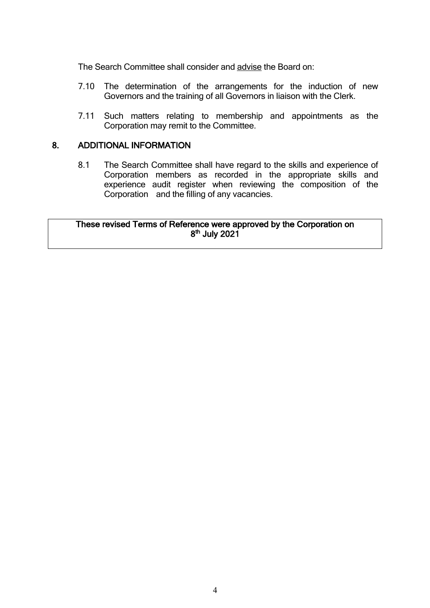The Search Committee shall consider and advise the Board on:

- 7.10 The determination of the arrangements for the induction of new Governors and the training of all Governors in liaison with the Clerk.
- 7.11 Such matters relating to membership and appointments as the Corporation may remit to the Committee.

#### 8. ADDITIONAL INFORMATION

8.1 The Search Committee shall have regard to the skills and experience of Corporation members as recorded in the appropriate skills and experience audit register when reviewing the composition of the Corporation and the filling of any vacancies.

#### These revised Terms of Reference were approved by the Corporation on 8<sup>th</sup> July 2021